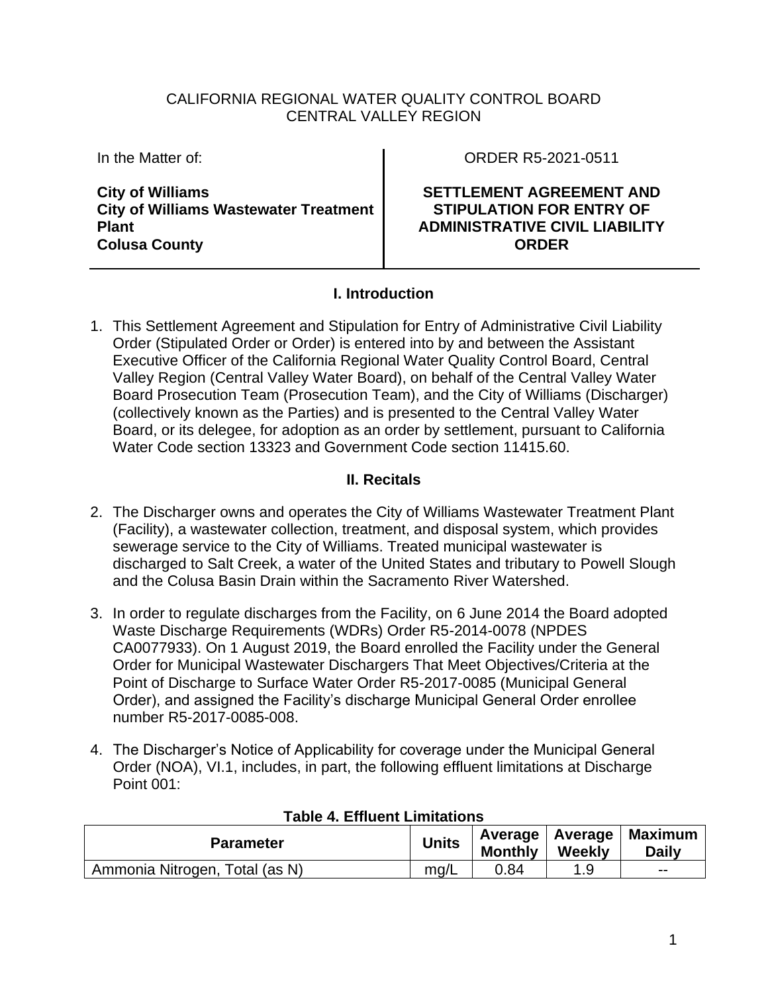### CALIFORNIA REGIONAL WATER QUALITY CONTROL BOARD CENTRAL VALLEY REGION

In the Matter of:

**City of Williams City of Williams Wastewater Treatment Plant Colusa County**

ORDER R5-2021-0511

**SETTLEMENT AGREEMENT AND STIPULATION FOR ENTRY OF ADMINISTRATIVE CIVIL LIABILITY ORDER**

### **I. Introduction**

1. This Settlement Agreement and Stipulation for Entry of Administrative Civil Liability Order (Stipulated Order or Order) is entered into by and between the Assistant Executive Officer of the California Regional Water Quality Control Board, Central Valley Region (Central Valley Water Board), on behalf of the Central Valley Water Board Prosecution Team (Prosecution Team), and the City of Williams (Discharger) (collectively known as the Parties) and is presented to the Central Valley Water Board, or its delegee, for adoption as an order by settlement, pursuant to California Water Code section 13323 and Government Code section 11415.60.

### **II. Recitals**

- 2. The Discharger owns and operates the City of Williams Wastewater Treatment Plant (Facility), a wastewater collection, treatment, and disposal system, which provides sewerage service to the City of Williams. Treated municipal wastewater is discharged to Salt Creek, a water of the United States and tributary to Powell Slough and the Colusa Basin Drain within the Sacramento River Watershed.
- 3. In order to regulate discharges from the Facility, on 6 June 2014 the Board adopted Waste Discharge Requirements (WDRs) Order R5-2014-0078 (NPDES CA0077933). On 1 August 2019, the Board enrolled the Facility under the General Order for Municipal Wastewater Dischargers That Meet Objectives/Criteria at the Point of Discharge to Surface Water Order R5-2017-0085 (Municipal General Order), and assigned the Facility's discharge Municipal General Order enrollee number R5-2017-0085-008.
- 4. The Discharger's Notice of Applicability for coverage under the Municipal General Order (NOA), VI.1, includes, in part, the following effluent limitations at Discharge Point 001:

| ו שאוט ה. בווושפות בווווונטנוטוס |              |                |        |                                               |  |
|----------------------------------|--------------|----------------|--------|-----------------------------------------------|--|
| <b>Parameter</b>                 | <b>Units</b> | <b>Monthly</b> | Weekly | ' Average   Average   Maximum<br><b>Daily</b> |  |
| Ammonia Nitrogen, Total (as N)   | mg/L         | 0.84           | 1 Q    | --                                            |  |

#### **Table 4. Effluent Limitations**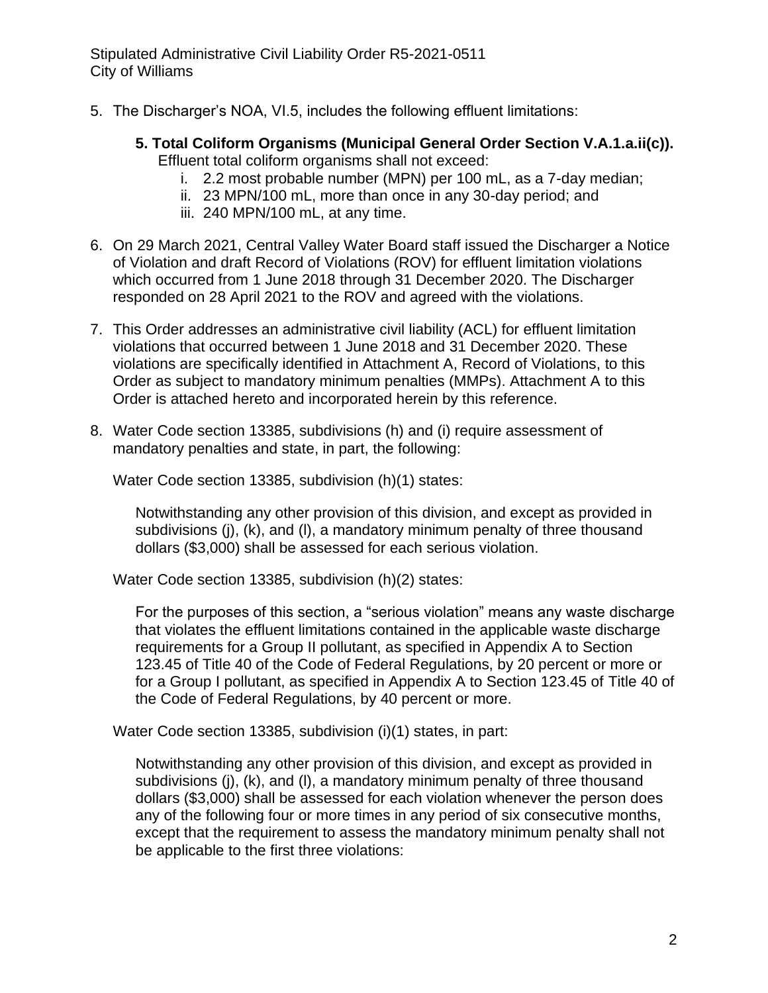- 5. The Discharger's NOA, VI.5, includes the following effluent limitations:
	- **5. Total Coliform Organisms (Municipal General Order Section V.A.1.a.ii(c)).**  Effluent total coliform organisms shall not exceed:
		- i. 2.2 most probable number (MPN) per 100 mL, as a 7-day median;
		- ii. 23 MPN/100 mL, more than once in any 30-day period; and
		- iii. 240 MPN/100 mL, at any time.
- 6. On 29 March 2021, Central Valley Water Board staff issued the Discharger a Notice of Violation and draft Record of Violations (ROV) for effluent limitation violations which occurred from 1 June 2018 through 31 December 2020. The Discharger responded on 28 April 2021 to the ROV and agreed with the violations.
- 7. This Order addresses an administrative civil liability (ACL) for effluent limitation violations that occurred between 1 June 2018 and 31 December 2020. These violations are specifically identified in Attachment A, Record of Violations, to this Order as subject to mandatory minimum penalties (MMPs). Attachment A to this Order is attached hereto and incorporated herein by this reference.
- 8. Water Code section 13385, subdivisions (h) and (i) require assessment of mandatory penalties and state, in part, the following:

Water Code section 13385, subdivision (h)(1) states:

Notwithstanding any other provision of this division, and except as provided in subdivisions (j), (k), and (l), a mandatory minimum penalty of three thousand dollars (\$3,000) shall be assessed for each serious violation.

Water Code section 13385, subdivision (h)(2) states:

For the purposes of this section, a "serious violation" means any waste discharge that violates the effluent limitations contained in the applicable waste discharge requirements for a Group II pollutant, as specified in Appendix A to Section 123.45 of Title 40 of the Code of Federal Regulations, by 20 percent or more or for a Group I pollutant, as specified in Appendix A to Section 123.45 of Title 40 of the Code of Federal Regulations, by 40 percent or more.

Water Code section 13385, subdivision (i)(1) states, in part:

Notwithstanding any other provision of this division, and except as provided in subdivisions (j), (k), and (l), a mandatory minimum penalty of three thousand dollars (\$3,000) shall be assessed for each violation whenever the person does any of the following four or more times in any period of six consecutive months, except that the requirement to assess the mandatory minimum penalty shall not be applicable to the first three violations: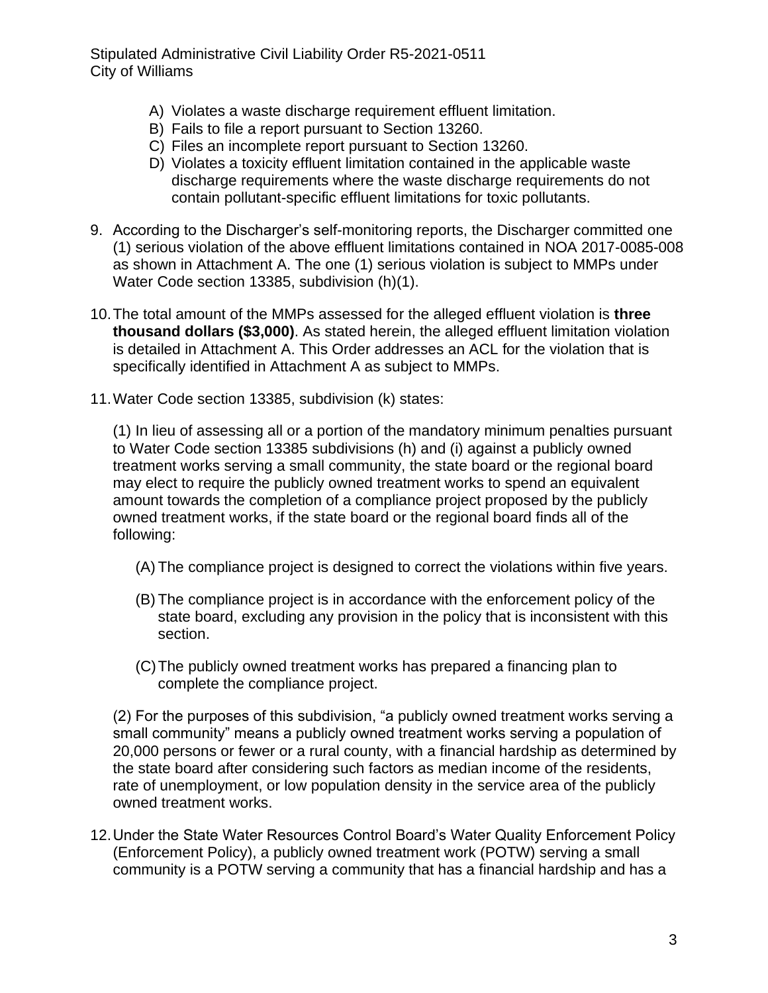- A) Violates a waste discharge requirement effluent limitation.
- B) Fails to file a report pursuant to Section 13260.
- C) Files an incomplete report pursuant to Section 13260.
- D) Violates a toxicity effluent limitation contained in the applicable waste discharge requirements where the waste discharge requirements do not contain pollutant-specific effluent limitations for toxic pollutants.
- 9. According to the Discharger's self-monitoring reports, the Discharger committed one (1) serious violation of the above effluent limitations contained in NOA 2017-0085-008 as shown in Attachment A. The one (1) serious violation is subject to MMPs under Water Code section 13385, subdivision (h)(1).
- 10.The total amount of the MMPs assessed for the alleged effluent violation is **three thousand dollars (\$3,000)**. As stated herein, the alleged effluent limitation violation is detailed in Attachment A. This Order addresses an ACL for the violation that is specifically identified in Attachment A as subject to MMPs.
- 11.Water Code section 13385, subdivision (k) states:

(1) In lieu of assessing all or a portion of the mandatory minimum penalties pursuant to Water Code section 13385 subdivisions (h) and (i) against a publicly owned treatment works serving a small community, the state board or the regional board may elect to require the publicly owned treatment works to spend an equivalent amount towards the completion of a compliance project proposed by the publicly owned treatment works, if the state board or the regional board finds all of the following:

- (A) The compliance project is designed to correct the violations within five years.
- (B) The compliance project is in accordance with the enforcement policy of the state board, excluding any provision in the policy that is inconsistent with this section.
- (C)The publicly owned treatment works has prepared a financing plan to complete the compliance project.

(2) For the purposes of this subdivision, "a publicly owned treatment works serving a small community" means a publicly owned treatment works serving a population of 20,000 persons or fewer or a rural county, with a financial hardship as determined by the state board after considering such factors as median income of the residents, rate of unemployment, or low population density in the service area of the publicly owned treatment works.

12.Under the State Water Resources Control Board's Water Quality Enforcement Policy (Enforcement Policy), a publicly owned treatment work (POTW) serving a small community is a POTW serving a community that has a financial hardship and has a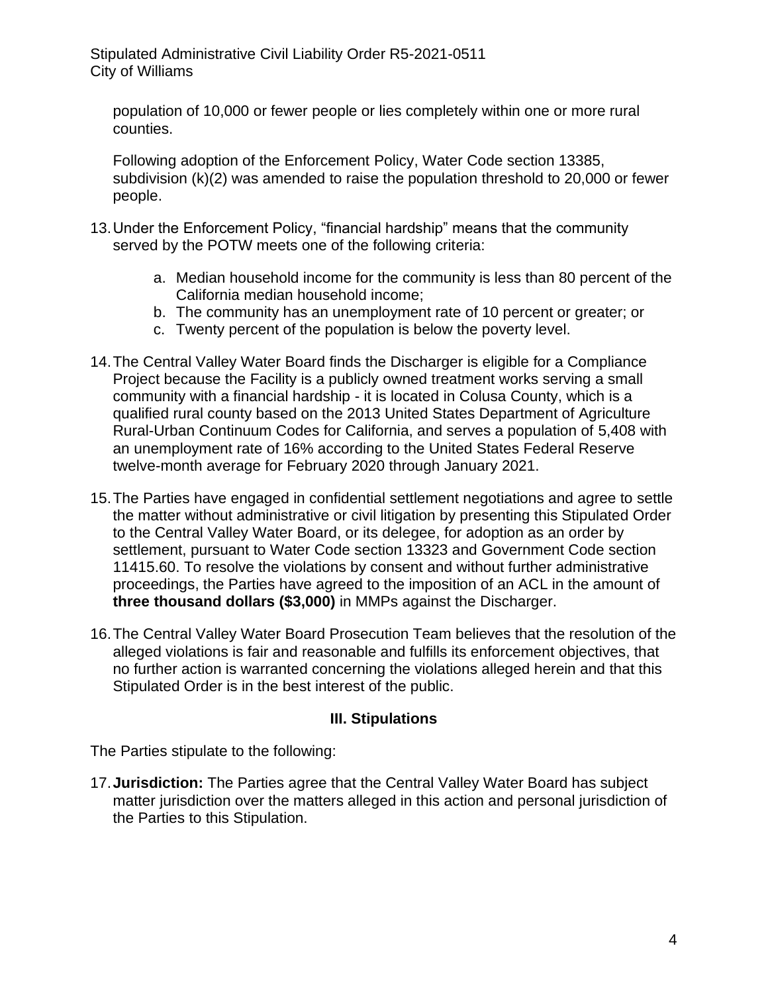population of 10,000 or fewer people or lies completely within one or more rural counties.

Following adoption of the Enforcement Policy, Water Code section 13385, subdivision (k)(2) was amended to raise the population threshold to 20,000 or fewer people.

- 13.Under the Enforcement Policy, "financial hardship" means that the community served by the POTW meets one of the following criteria:
	- a. Median household income for the community is less than 80 percent of the California median household income;
	- b. The community has an unemployment rate of 10 percent or greater; or
	- c. Twenty percent of the population is below the poverty level.
- 14.The Central Valley Water Board finds the Discharger is eligible for a Compliance Project because the Facility is a publicly owned treatment works serving a small community with a financial hardship - it is located in Colusa County, which is a qualified rural county based on the 2013 United States Department of Agriculture Rural-Urban Continuum Codes for California, and serves a population of 5,408 with an unemployment rate of 16% according to the United States Federal Reserve twelve-month average for February 2020 through January 2021.
- 15.The Parties have engaged in confidential settlement negotiations and agree to settle the matter without administrative or civil litigation by presenting this Stipulated Order to the Central Valley Water Board, or its delegee, for adoption as an order by settlement, pursuant to Water Code section 13323 and Government Code section 11415.60. To resolve the violations by consent and without further administrative proceedings, the Parties have agreed to the imposition of an ACL in the amount of **three thousand dollars (\$3,000)** in MMPs against the Discharger.
- 16.The Central Valley Water Board Prosecution Team believes that the resolution of the alleged violations is fair and reasonable and fulfills its enforcement objectives, that no further action is warranted concerning the violations alleged herein and that this Stipulated Order is in the best interest of the public.

## **III. Stipulations**

The Parties stipulate to the following:

17.**Jurisdiction:** The Parties agree that the Central Valley Water Board has subject matter jurisdiction over the matters alleged in this action and personal jurisdiction of the Parties to this Stipulation.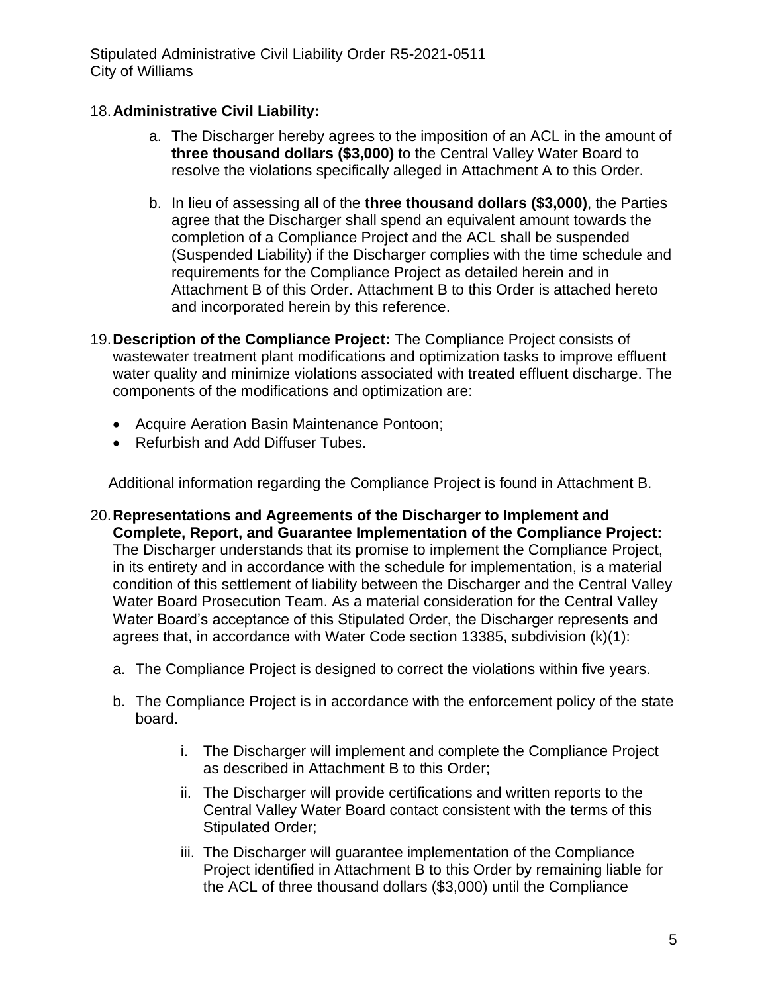# 18.**Administrative Civil Liability:**

- a. The Discharger hereby agrees to the imposition of an ACL in the amount of **three thousand dollars (\$3,000)** to the Central Valley Water Board to resolve the violations specifically alleged in Attachment A to this Order.
- b. In lieu of assessing all of the **three thousand dollars (\$3,000)**, the Parties agree that the Discharger shall spend an equivalent amount towards the completion of a Compliance Project and the ACL shall be suspended (Suspended Liability) if the Discharger complies with the time schedule and requirements for the Compliance Project as detailed herein and in Attachment B of this Order. Attachment B to this Order is attached hereto and incorporated herein by this reference.
- 19.**Description of the Compliance Project:** The Compliance Project consists of wastewater treatment plant modifications and optimization tasks to improve effluent water quality and minimize violations associated with treated effluent discharge. The components of the modifications and optimization are:
	- Acquire Aeration Basin Maintenance Pontoon;
	- Refurbish and Add Diffuser Tubes.

Additional information regarding the Compliance Project is found in Attachment B.

- 20.**Representations and Agreements of the Discharger to Implement and Complete, Report, and Guarantee Implementation of the Compliance Project:** The Discharger understands that its promise to implement the Compliance Project, in its entirety and in accordance with the schedule for implementation, is a material condition of this settlement of liability between the Discharger and the Central Valley Water Board Prosecution Team. As a material consideration for the Central Valley Water Board's acceptance of this Stipulated Order, the Discharger represents and agrees that, in accordance with Water Code section 13385, subdivision (k)(1):
	- a. The Compliance Project is designed to correct the violations within five years.
	- b. The Compliance Project is in accordance with the enforcement policy of the state board.
		- i. The Discharger will implement and complete the Compliance Project as described in Attachment B to this Order;
		- ii. The Discharger will provide certifications and written reports to the Central Valley Water Board contact consistent with the terms of this Stipulated Order;
		- iii. The Discharger will guarantee implementation of the Compliance Project identified in Attachment B to this Order by remaining liable for the ACL of three thousand dollars (\$3,000) until the Compliance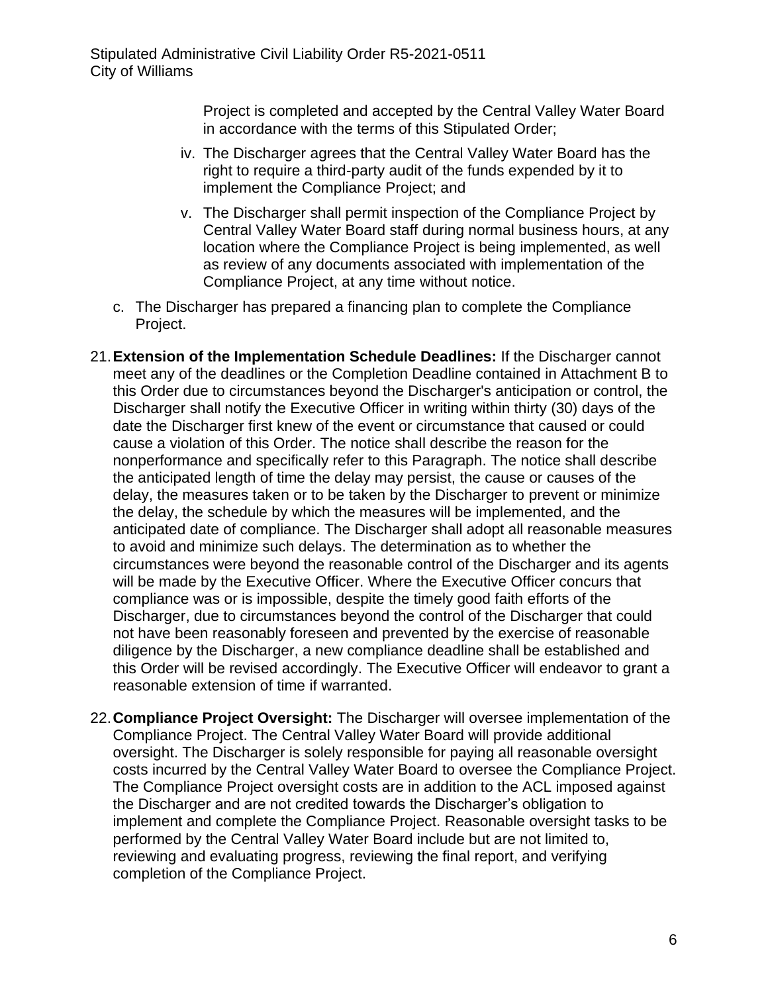Project is completed and accepted by the Central Valley Water Board in accordance with the terms of this Stipulated Order;

- iv. The Discharger agrees that the Central Valley Water Board has the right to require a third-party audit of the funds expended by it to implement the Compliance Project; and
- v. The Discharger shall permit inspection of the Compliance Project by Central Valley Water Board staff during normal business hours, at any location where the Compliance Project is being implemented, as well as review of any documents associated with implementation of the Compliance Project, at any time without notice.
- c. The Discharger has prepared a financing plan to complete the Compliance Project.
- 21.**Extension of the Implementation Schedule Deadlines:** If the Discharger cannot meet any of the deadlines or the Completion Deadline contained in Attachment B to this Order due to circumstances beyond the Discharger's anticipation or control, the Discharger shall notify the Executive Officer in writing within thirty (30) days of the date the Discharger first knew of the event or circumstance that caused or could cause a violation of this Order. The notice shall describe the reason for the nonperformance and specifically refer to this Paragraph. The notice shall describe the anticipated length of time the delay may persist, the cause or causes of the delay, the measures taken or to be taken by the Discharger to prevent or minimize the delay, the schedule by which the measures will be implemented, and the anticipated date of compliance. The Discharger shall adopt all reasonable measures to avoid and minimize such delays. The determination as to whether the circumstances were beyond the reasonable control of the Discharger and its agents will be made by the Executive Officer. Where the Executive Officer concurs that compliance was or is impossible, despite the timely good faith efforts of the Discharger, due to circumstances beyond the control of the Discharger that could not have been reasonably foreseen and prevented by the exercise of reasonable diligence by the Discharger, a new compliance deadline shall be established and this Order will be revised accordingly. The Executive Officer will endeavor to grant a reasonable extension of time if warranted.
- 22.**Compliance Project Oversight:** The Discharger will oversee implementation of the Compliance Project. The Central Valley Water Board will provide additional oversight. The Discharger is solely responsible for paying all reasonable oversight costs incurred by the Central Valley Water Board to oversee the Compliance Project. The Compliance Project oversight costs are in addition to the ACL imposed against the Discharger and are not credited towards the Discharger's obligation to implement and complete the Compliance Project. Reasonable oversight tasks to be performed by the Central Valley Water Board include but are not limited to, reviewing and evaluating progress, reviewing the final report, and verifying completion of the Compliance Project.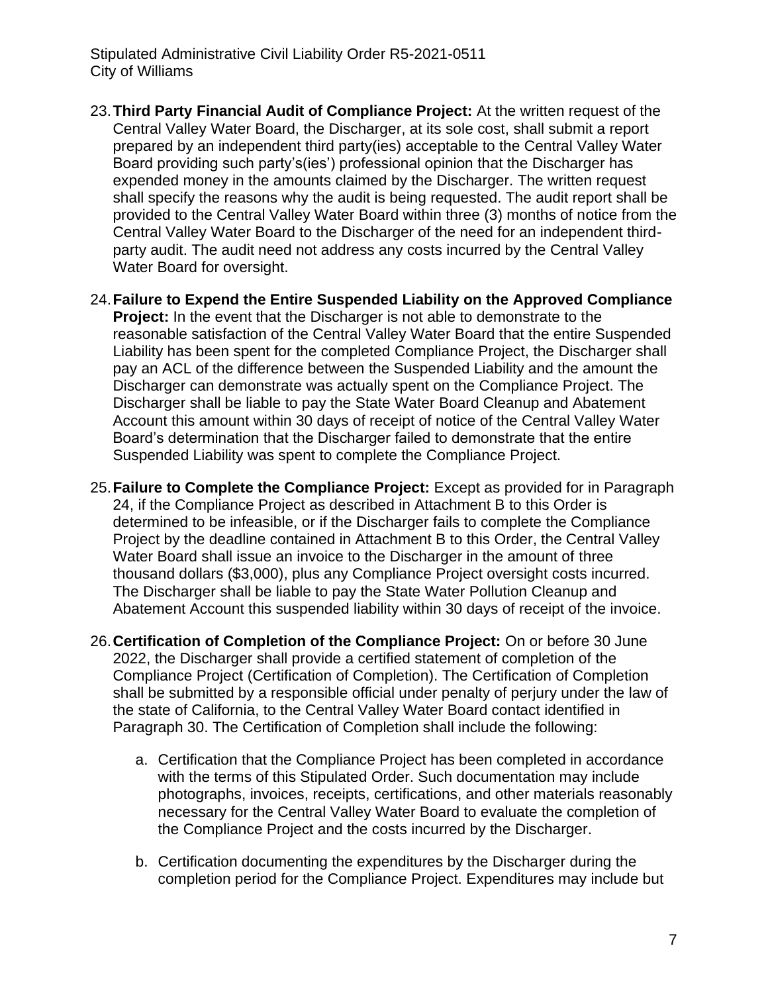- 23.**Third Party Financial Audit of Compliance Project:** At the written request of the Central Valley Water Board, the Discharger, at its sole cost, shall submit a report prepared by an independent third party(ies) acceptable to the Central Valley Water Board providing such party's(ies') professional opinion that the Discharger has expended money in the amounts claimed by the Discharger. The written request shall specify the reasons why the audit is being requested. The audit report shall be provided to the Central Valley Water Board within three (3) months of notice from the Central Valley Water Board to the Discharger of the need for an independent thirdparty audit. The audit need not address any costs incurred by the Central Valley Water Board for oversight.
- 24.**Failure to Expend the Entire Suspended Liability on the Approved Compliance Project:** In the event that the Discharger is not able to demonstrate to the reasonable satisfaction of the Central Valley Water Board that the entire Suspended Liability has been spent for the completed Compliance Project, the Discharger shall pay an ACL of the difference between the Suspended Liability and the amount the Discharger can demonstrate was actually spent on the Compliance Project. The Discharger shall be liable to pay the State Water Board Cleanup and Abatement Account this amount within 30 days of receipt of notice of the Central Valley Water Board's determination that the Discharger failed to demonstrate that the entire Suspended Liability was spent to complete the Compliance Project.
- 25.**Failure to Complete the Compliance Project:** Except as provided for in Paragraph 24, if the Compliance Project as described in Attachment B to this Order is determined to be infeasible, or if the Discharger fails to complete the Compliance Project by the deadline contained in Attachment B to this Order, the Central Valley Water Board shall issue an invoice to the Discharger in the amount of three thousand dollars (\$3,000), plus any Compliance Project oversight costs incurred. The Discharger shall be liable to pay the State Water Pollution Cleanup and Abatement Account this suspended liability within 30 days of receipt of the invoice.
- 26.**Certification of Completion of the Compliance Project:** On or before 30 June 2022, the Discharger shall provide a certified statement of completion of the Compliance Project (Certification of Completion). The Certification of Completion shall be submitted by a responsible official under penalty of perjury under the law of the state of California, to the Central Valley Water Board contact identified in Paragraph 30. The Certification of Completion shall include the following:
	- a. Certification that the Compliance Project has been completed in accordance with the terms of this Stipulated Order. Such documentation may include photographs, invoices, receipts, certifications, and other materials reasonably necessary for the Central Valley Water Board to evaluate the completion of the Compliance Project and the costs incurred by the Discharger.
	- b. Certification documenting the expenditures by the Discharger during the completion period for the Compliance Project. Expenditures may include but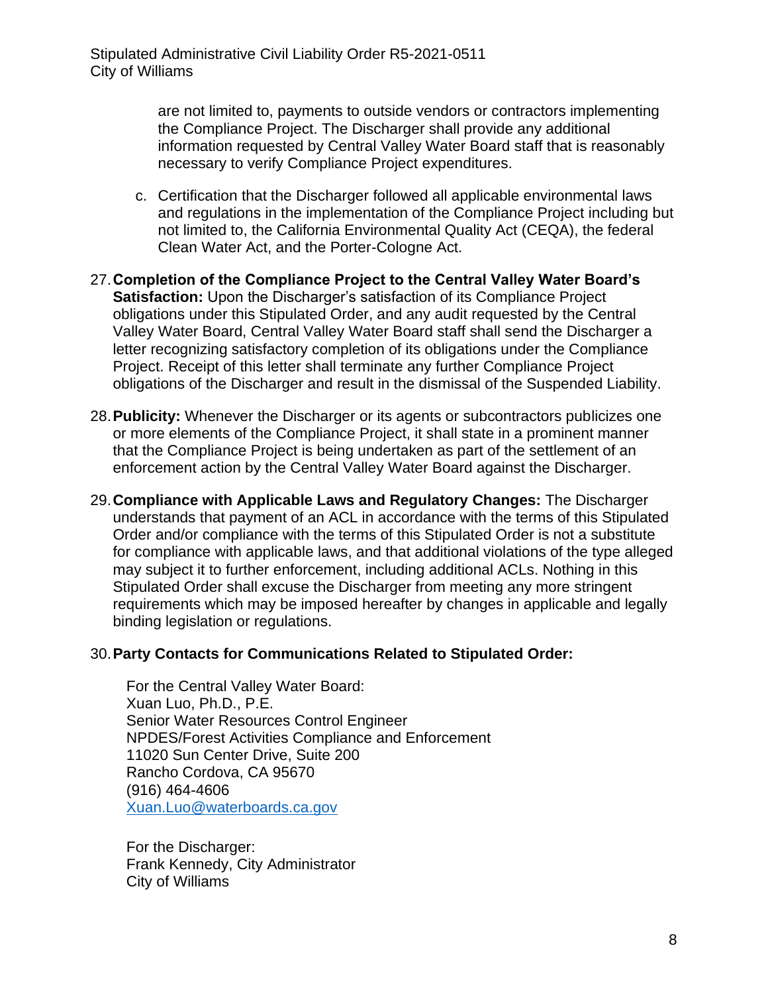are not limited to, payments to outside vendors or contractors implementing the Compliance Project. The Discharger shall provide any additional information requested by Central Valley Water Board staff that is reasonably necessary to verify Compliance Project expenditures.

- c. Certification that the Discharger followed all applicable environmental laws and regulations in the implementation of the Compliance Project including but not limited to, the California Environmental Quality Act (CEQA), the federal Clean Water Act, and the Porter-Cologne Act.
- 27.**Completion of the Compliance Project to the Central Valley Water Board's Satisfaction:** Upon the Discharger's satisfaction of its Compliance Project obligations under this Stipulated Order, and any audit requested by the Central Valley Water Board, Central Valley Water Board staff shall send the Discharger a letter recognizing satisfactory completion of its obligations under the Compliance Project. Receipt of this letter shall terminate any further Compliance Project obligations of the Discharger and result in the dismissal of the Suspended Liability.
- 28.**Publicity:** Whenever the Discharger or its agents or subcontractors publicizes one or more elements of the Compliance Project, it shall state in a prominent manner that the Compliance Project is being undertaken as part of the settlement of an enforcement action by the Central Valley Water Board against the Discharger.
- 29.**Compliance with Applicable Laws and Regulatory Changes:** The Discharger understands that payment of an ACL in accordance with the terms of this Stipulated Order and/or compliance with the terms of this Stipulated Order is not a substitute for compliance with applicable laws, and that additional violations of the type alleged may subject it to further enforcement, including additional ACLs. Nothing in this Stipulated Order shall excuse the Discharger from meeting any more stringent requirements which may be imposed hereafter by changes in applicable and legally binding legislation or regulations.

#### 30.**Party Contacts for Communications Related to Stipulated Order:**

For the Central Valley Water Board: Xuan Luo, Ph.D., P.E. Senior Water Resources Control Engineer NPDES/Forest Activities Compliance and Enforcement 11020 Sun Center Drive, Suite 200 Rancho Cordova, CA 95670 (916) 464-4606 [Xuan.Luo@waterboards.ca.gov](mailto:Xuan.Luo@waterboards.ca.gov)

For the Discharger: Frank Kennedy, City Administrator City of Williams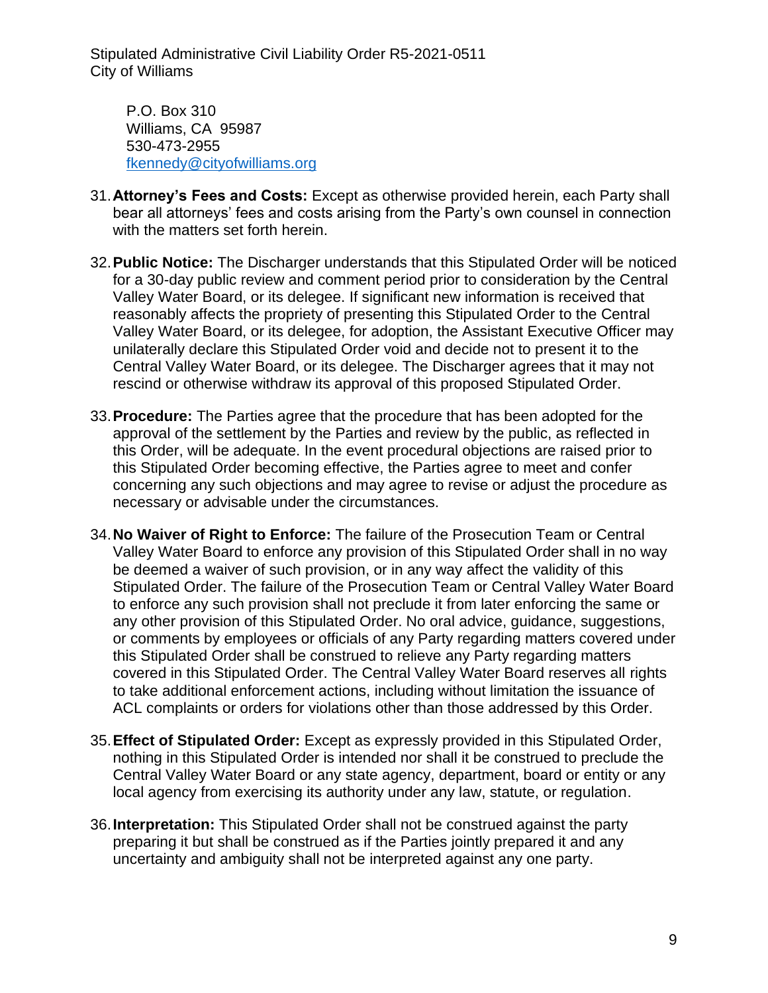P.O. Box 310 Williams, CA 95987 530-473-2955 [fkennedy@cityofwilliams.org](mailto:fkennedy@cityofwilliams.org)

- 31.**Attorney's Fees and Costs:** Except as otherwise provided herein, each Party shall bear all attorneys' fees and costs arising from the Party's own counsel in connection with the matters set forth herein.
- 32.**Public Notice:** The Discharger understands that this Stipulated Order will be noticed for a 30-day public review and comment period prior to consideration by the Central Valley Water Board, or its delegee. If significant new information is received that reasonably affects the propriety of presenting this Stipulated Order to the Central Valley Water Board, or its delegee, for adoption, the Assistant Executive Officer may unilaterally declare this Stipulated Order void and decide not to present it to the Central Valley Water Board, or its delegee. The Discharger agrees that it may not rescind or otherwise withdraw its approval of this proposed Stipulated Order.
- 33.**Procedure:** The Parties agree that the procedure that has been adopted for the approval of the settlement by the Parties and review by the public, as reflected in this Order, will be adequate. In the event procedural objections are raised prior to this Stipulated Order becoming effective, the Parties agree to meet and confer concerning any such objections and may agree to revise or adjust the procedure as necessary or advisable under the circumstances.
- 34.**No Waiver of Right to Enforce:** The failure of the Prosecution Team or Central Valley Water Board to enforce any provision of this Stipulated Order shall in no way be deemed a waiver of such provision, or in any way affect the validity of this Stipulated Order. The failure of the Prosecution Team or Central Valley Water Board to enforce any such provision shall not preclude it from later enforcing the same or any other provision of this Stipulated Order. No oral advice, guidance, suggestions, or comments by employees or officials of any Party regarding matters covered under this Stipulated Order shall be construed to relieve any Party regarding matters covered in this Stipulated Order. The Central Valley Water Board reserves all rights to take additional enforcement actions, including without limitation the issuance of ACL complaints or orders for violations other than those addressed by this Order.
- 35.**Effect of Stipulated Order:** Except as expressly provided in this Stipulated Order, nothing in this Stipulated Order is intended nor shall it be construed to preclude the Central Valley Water Board or any state agency, department, board or entity or any local agency from exercising its authority under any law, statute, or regulation.
- 36.**Interpretation:** This Stipulated Order shall not be construed against the party preparing it but shall be construed as if the Parties jointly prepared it and any uncertainty and ambiguity shall not be interpreted against any one party.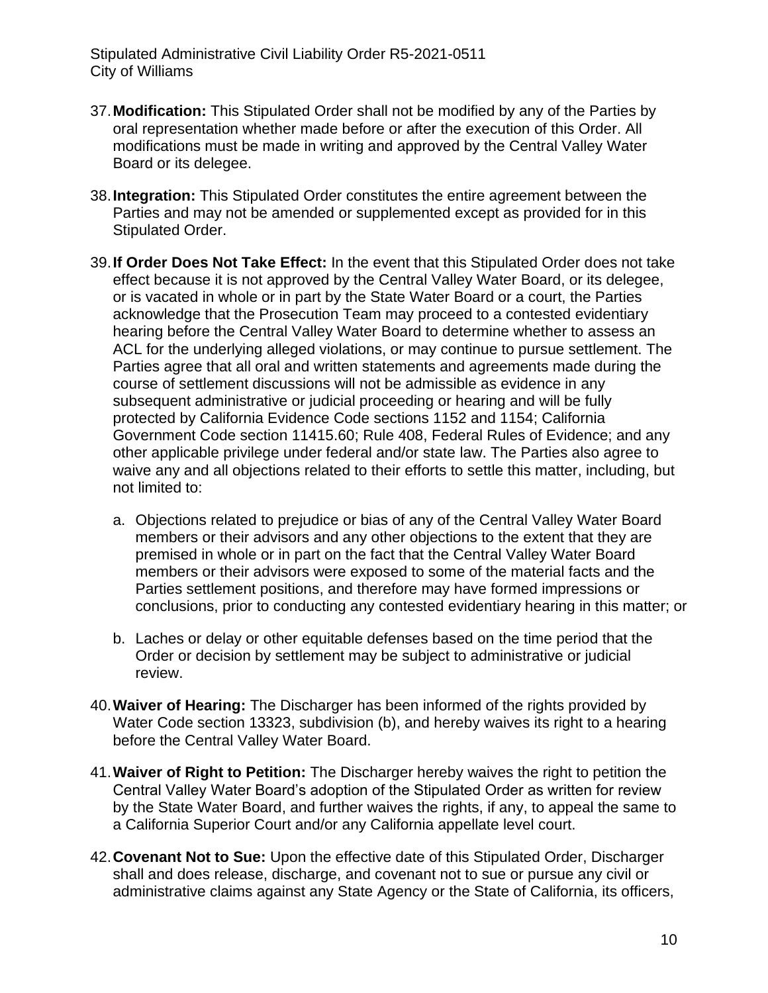- 37.**Modification:** This Stipulated Order shall not be modified by any of the Parties by oral representation whether made before or after the execution of this Order. All modifications must be made in writing and approved by the Central Valley Water Board or its delegee.
- 38.**Integration:** This Stipulated Order constitutes the entire agreement between the Parties and may not be amended or supplemented except as provided for in this Stipulated Order.
- 39.**If Order Does Not Take Effect:** In the event that this Stipulated Order does not take effect because it is not approved by the Central Valley Water Board, or its delegee, or is vacated in whole or in part by the State Water Board or a court, the Parties acknowledge that the Prosecution Team may proceed to a contested evidentiary hearing before the Central Valley Water Board to determine whether to assess an ACL for the underlying alleged violations, or may continue to pursue settlement. The Parties agree that all oral and written statements and agreements made during the course of settlement discussions will not be admissible as evidence in any subsequent administrative or judicial proceeding or hearing and will be fully protected by California Evidence Code sections 1152 and 1154; California Government Code section 11415.60; Rule 408, Federal Rules of Evidence; and any other applicable privilege under federal and/or state law. The Parties also agree to waive any and all objections related to their efforts to settle this matter, including, but not limited to:
	- a. Objections related to prejudice or bias of any of the Central Valley Water Board members or their advisors and any other objections to the extent that they are premised in whole or in part on the fact that the Central Valley Water Board members or their advisors were exposed to some of the material facts and the Parties settlement positions, and therefore may have formed impressions or conclusions, prior to conducting any contested evidentiary hearing in this matter; or
	- b. Laches or delay or other equitable defenses based on the time period that the Order or decision by settlement may be subject to administrative or judicial review.
- 40.**Waiver of Hearing:** The Discharger has been informed of the rights provided by Water Code section 13323, subdivision (b), and hereby waives its right to a hearing before the Central Valley Water Board.
- 41.**Waiver of Right to Petition:** The Discharger hereby waives the right to petition the Central Valley Water Board's adoption of the Stipulated Order as written for review by the State Water Board, and further waives the rights, if any, to appeal the same to a California Superior Court and/or any California appellate level court.
- 42.**Covenant Not to Sue:** Upon the effective date of this Stipulated Order, Discharger shall and does release, discharge, and covenant not to sue or pursue any civil or administrative claims against any State Agency or the State of California, its officers,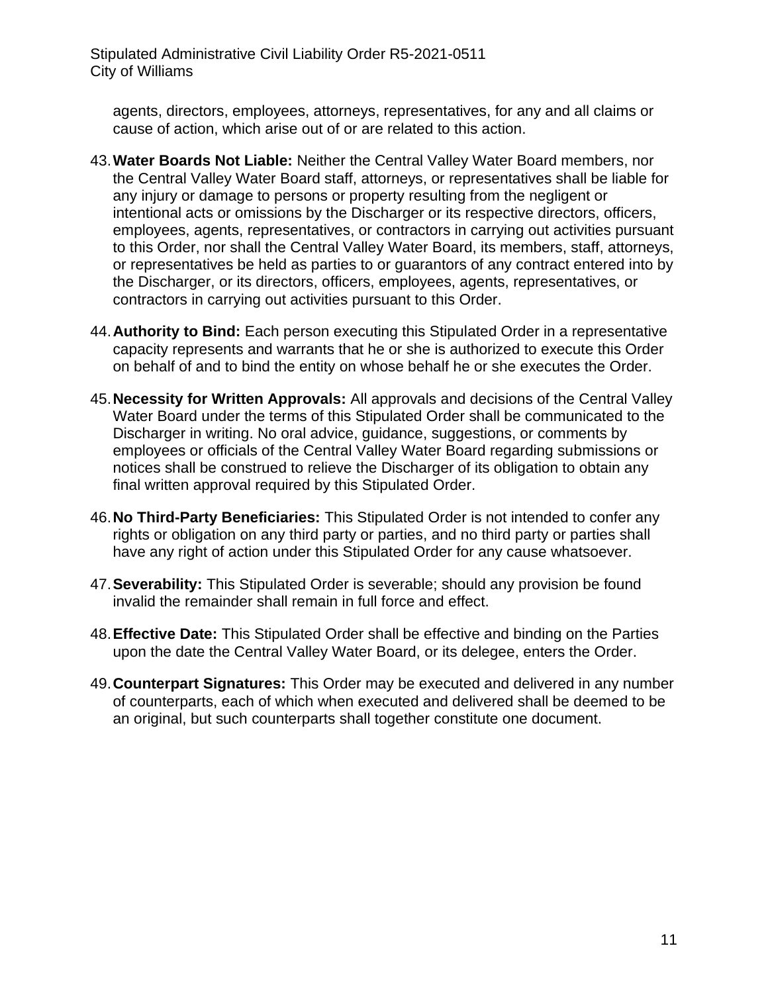agents, directors, employees, attorneys, representatives, for any and all claims or cause of action, which arise out of or are related to this action.

- 43.**Water Boards Not Liable:** Neither the Central Valley Water Board members, nor the Central Valley Water Board staff, attorneys, or representatives shall be liable for any injury or damage to persons or property resulting from the negligent or intentional acts or omissions by the Discharger or its respective directors, officers, employees, agents, representatives, or contractors in carrying out activities pursuant to this Order, nor shall the Central Valley Water Board, its members, staff, attorneys, or representatives be held as parties to or guarantors of any contract entered into by the Discharger, or its directors, officers, employees, agents, representatives, or contractors in carrying out activities pursuant to this Order.
- 44.**Authority to Bind:** Each person executing this Stipulated Order in a representative capacity represents and warrants that he or she is authorized to execute this Order on behalf of and to bind the entity on whose behalf he or she executes the Order.
- 45.**Necessity for Written Approvals:** All approvals and decisions of the Central Valley Water Board under the terms of this Stipulated Order shall be communicated to the Discharger in writing. No oral advice, guidance, suggestions, or comments by employees or officials of the Central Valley Water Board regarding submissions or notices shall be construed to relieve the Discharger of its obligation to obtain any final written approval required by this Stipulated Order.
- 46.**No Third-Party Beneficiaries:** This Stipulated Order is not intended to confer any rights or obligation on any third party or parties, and no third party or parties shall have any right of action under this Stipulated Order for any cause whatsoever.
- 47.**Severability:** This Stipulated Order is severable; should any provision be found invalid the remainder shall remain in full force and effect.
- 48.**Effective Date:** This Stipulated Order shall be effective and binding on the Parties upon the date the Central Valley Water Board, or its delegee, enters the Order.
- 49.**Counterpart Signatures:** This Order may be executed and delivered in any number of counterparts, each of which when executed and delivered shall be deemed to be an original, but such counterparts shall together constitute one document.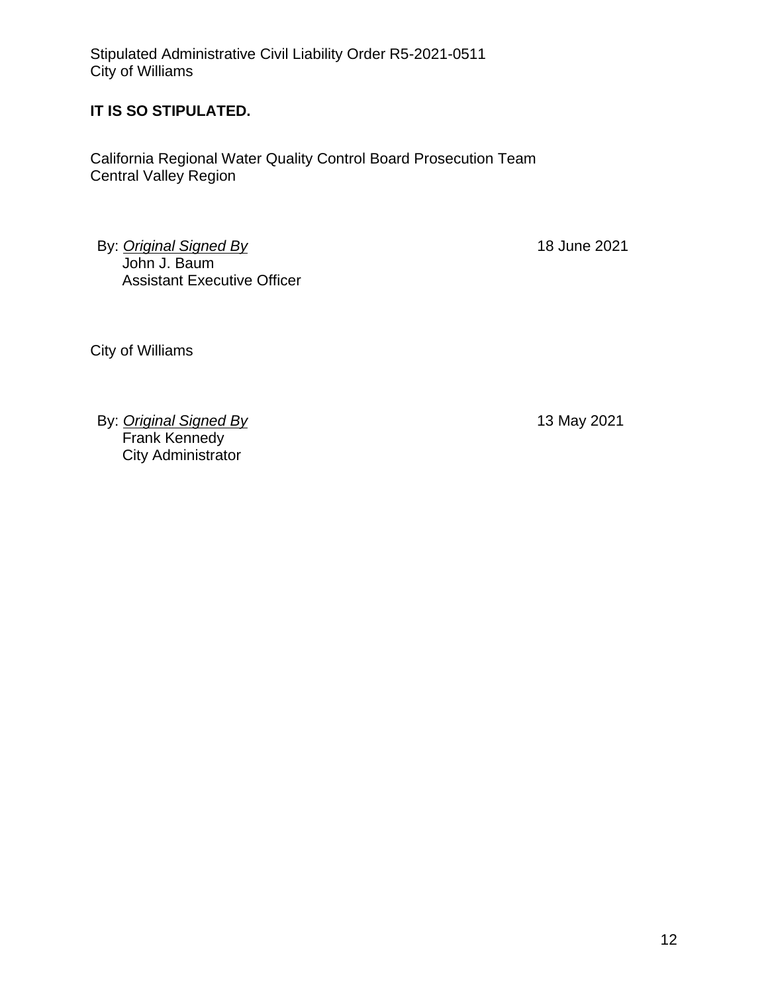# **IT IS SO STIPULATED.**

California Regional Water Quality Control Board Prosecution Team Central Valley Region

By: *Original Signed By* John J. Baum Assistant Executive Officer 18 June 2021

City of Williams

By: *Original Signed By* Frank Kennedy City Administrator

13 May 2021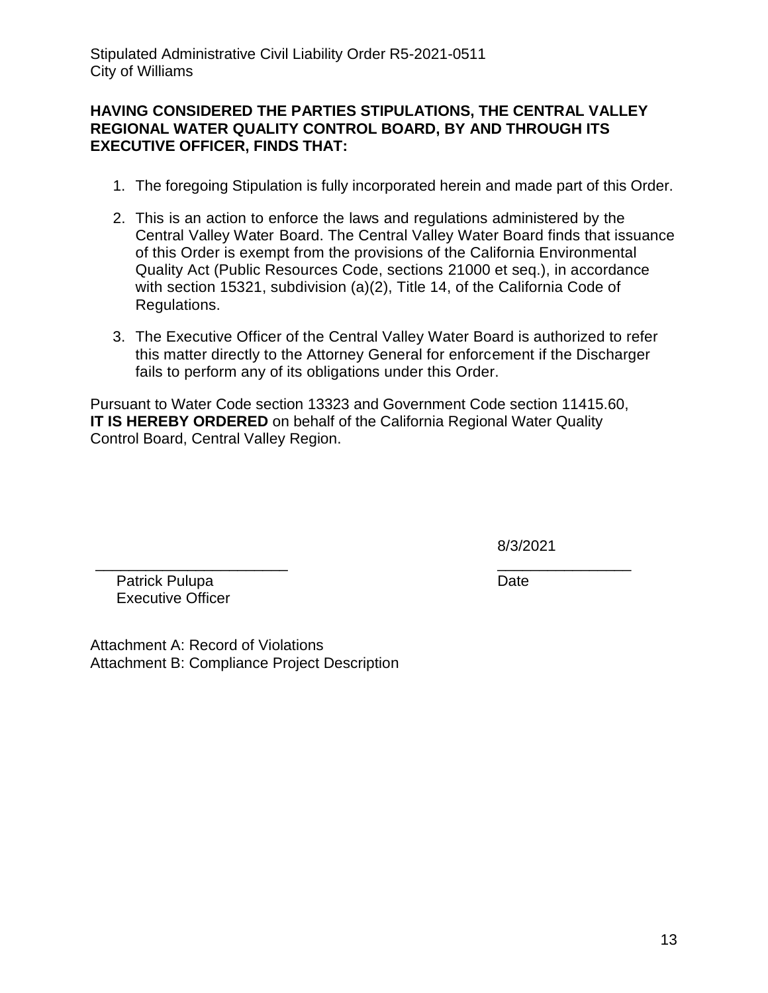### **HAVING CONSIDERED THE PARTIES STIPULATIONS, THE CENTRAL VALLEY REGIONAL WATER QUALITY CONTROL BOARD, BY AND THROUGH ITS EXECUTIVE OFFICER, FINDS THAT:**

- 1. The foregoing Stipulation is fully incorporated herein and made part of this Order.
- 2. This is an action to enforce the laws and regulations administered by the Central Valley Water Board. The Central Valley Water Board finds that issuance of this Order is exempt from the provisions of the California Environmental Quality Act (Public Resources Code, sections 21000 et seq.), in accordance with section 15321, subdivision (a)(2), Title 14, of the California Code of Regulations.
- 3. The Executive Officer of the Central Valley Water Board is authorized to refer this matter directly to the Attorney General for enforcement if the Discharger fails to perform any of its obligations under this Order.

Pursuant to Water Code section 13323 and Government Code section 11415.60, **IT IS HEREBY ORDERED** on behalf of the California Regional Water Quality Control Board, Central Valley Region.

8/3/2021

\_\_\_\_\_\_\_\_\_\_\_\_\_\_\_\_ Date

 Patrick Pulupa Executive Officer

\_\_\_\_\_\_\_\_\_\_\_\_\_\_\_\_\_\_\_\_\_\_\_

Attachment A: Record of Violations Attachment B: Compliance Project Description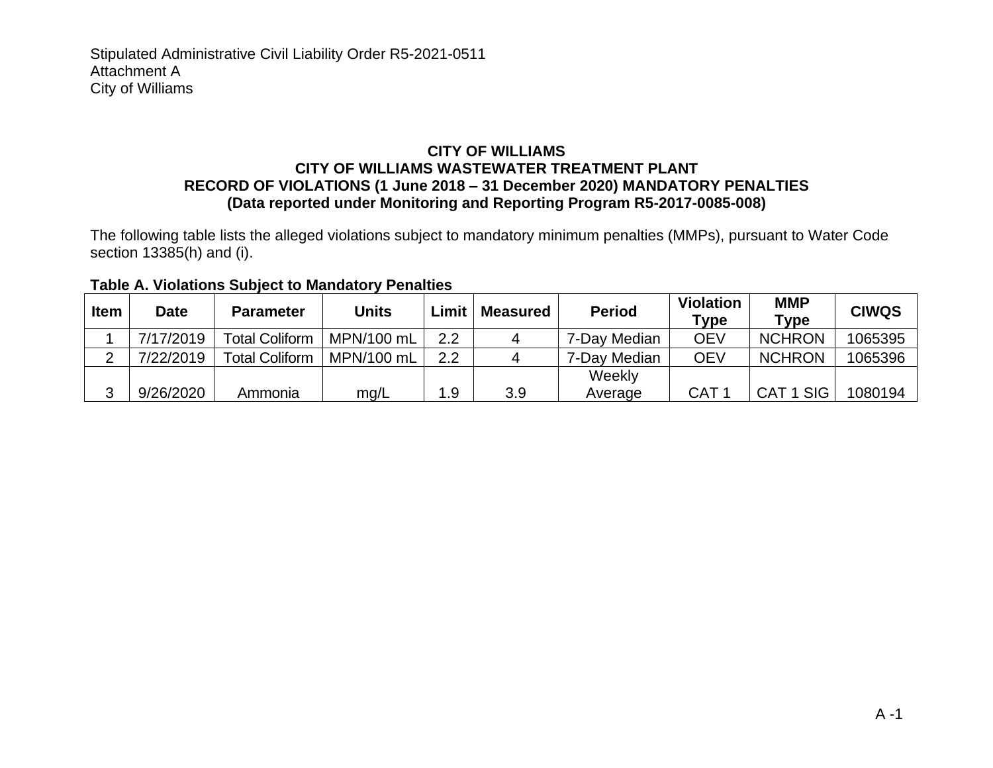#### **CITY OF WILLIAMS CITY OF WILLIAMS WASTEWATER TREATMENT PLANT RECORD OF VIOLATIONS (1 June 2018 – 31 December 2020) MANDATORY PENALTIES (Data reported under Monitoring and Reporting Program R5-2017-0085-008)**

The following table lists the alleged violations subject to mandatory minimum penalties (MMPs), pursuant to Water Code section 13385(h) and (i).

| <b>Table A. Violations Subject to Mandatory Penalties</b> |  |  |  |
|-----------------------------------------------------------|--|--|--|
|                                                           |  |  |  |

| <b>Item</b> | Date      | <b>Parameter</b>      | Units      | Limit | <b>Measured</b> | <b>Period</b> | <b>Violation</b><br>$\mathsf{Type}$ | <b>MMP</b><br>$T$ ype          | <b>CIWQS</b> |
|-------------|-----------|-----------------------|------------|-------|-----------------|---------------|-------------------------------------|--------------------------------|--------------|
|             | 7/17/2019 | <b>Total Coliform</b> | MPN/100 mL | 2.2   |                 | 7-Day Median  | OEV                                 | <b>NCHRON</b>                  | 1065395      |
|             | 7/22/2019 | <b>Total Coliform</b> | MPN/100 mL | 2.2   |                 | 7-Day Median  | OEV                                 | <b>NCHRON</b>                  | 1065396      |
|             |           |                       |            |       |                 | Weekly        |                                     |                                |              |
| ⌒           | 9/26/2020 | Ammonia               | mg/L       | 1.9   | 3.9             | Average       | CAT                                 | <b>SIG</b><br>CAT <sub>1</sub> | 1080194      |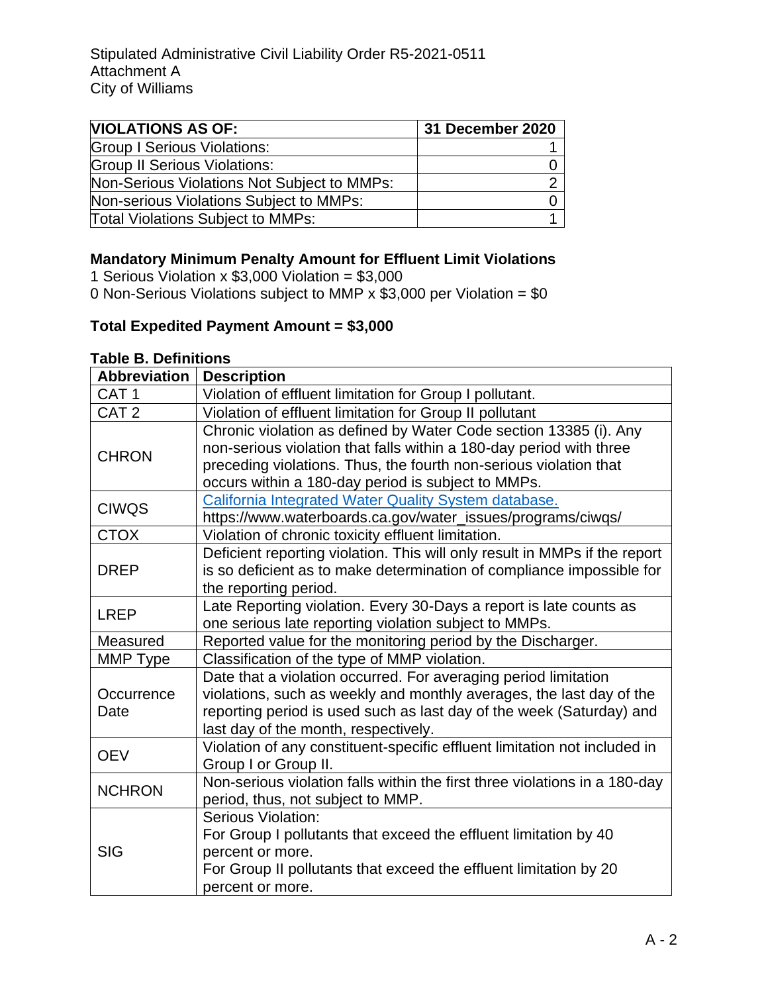| <b>NIOLATIONS AS OF:</b>                    | 31 December 2020 |
|---------------------------------------------|------------------|
| <b>Group I Serious Violations:</b>          |                  |
| <b>Group II Serious Violations:</b>         |                  |
| Non-Serious Violations Not Subject to MMPs: |                  |
| Non-serious Violations Subject to MMPs:     |                  |
| <b>Total Violations Subject to MMPs:</b>    |                  |

# **Mandatory Minimum Penalty Amount for Effluent Limit Violations**

1 Serious Violation x  $$3,000$  Violation =  $$3,000$ 

0 Non-Serious Violations subject to MMP  $\times$  \$3,000 per Violation = \$0

# **Total Expedited Payment Amount = \$3,000**

### **Table B. Definitions**

| <b>Abbreviation</b> | <b>Description</b>                                                         |
|---------------------|----------------------------------------------------------------------------|
| CAT <sub>1</sub>    | Violation of effluent limitation for Group I pollutant.                    |
| CAT <sub>2</sub>    | Violation of effluent limitation for Group II pollutant                    |
|                     | Chronic violation as defined by Water Code section 13385 (i). Any          |
| <b>CHRON</b>        | non-serious violation that falls within a 180-day period with three        |
|                     | preceding violations. Thus, the fourth non-serious violation that          |
|                     | occurs within a 180-day period is subject to MMPs.                         |
| <b>CIWQS</b>        | California Integrated Water Quality System database.                       |
|                     | https://www.waterboards.ca.gov/water_issues/programs/ciwqs/                |
| <b>CTOX</b>         | Violation of chronic toxicity effluent limitation.                         |
|                     | Deficient reporting violation. This will only result in MMPs if the report |
| <b>DREP</b>         | is so deficient as to make determination of compliance impossible for      |
|                     | the reporting period.                                                      |
| <b>LREP</b>         | Late Reporting violation. Every 30-Days a report is late counts as         |
|                     | one serious late reporting violation subject to MMPs.                      |
| Measured            | Reported value for the monitoring period by the Discharger.                |
| MMP Type            | Classification of the type of MMP violation.                               |
|                     | Date that a violation occurred. For averaging period limitation            |
| Occurrence          | violations, such as weekly and monthly averages, the last day of the       |
| Date                | reporting period is used such as last day of the week (Saturday) and       |
|                     | last day of the month, respectively.                                       |
| <b>OEV</b>          | Violation of any constituent-specific effluent limitation not included in  |
|                     | Group I or Group II.                                                       |
| <b>NCHRON</b>       | Non-serious violation falls within the first three violations in a 180-day |
|                     | period, thus, not subject to MMP.                                          |
| <b>SIG</b>          | Serious Violation:                                                         |
|                     | For Group I pollutants that exceed the effluent limitation by 40           |
|                     | percent or more.                                                           |
|                     | For Group II pollutants that exceed the effluent limitation by 20          |
|                     | percent or more.                                                           |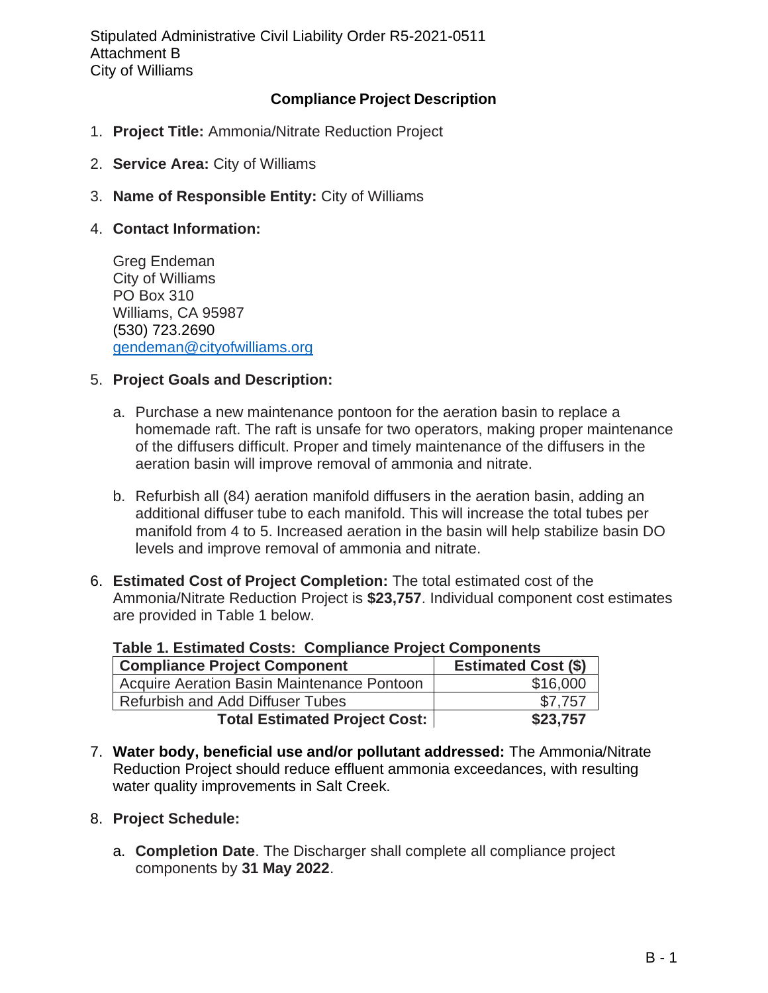## **Compliance Project Description**

- 1. **Project Title:** Ammonia/Nitrate Reduction Project
- 2. **Service Area:** City of Williams
- 3. **Name of Responsible Entity:** City of Williams
- 4. **Contact Information:**

Greg Endeman City of Williams PO Box 310 Williams, CA 95987 (530) 723.2690 [gendeman@cityofwilliams.org](mailto:gendeman@cityofwilliams.org)

#### 5. **Project Goals and Description:**

- a. Purchase a new maintenance pontoon for the aeration basin to replace a homemade raft. The raft is unsafe for two operators, making proper maintenance of the diffusers difficult. Proper and timely maintenance of the diffusers in the aeration basin will improve removal of ammonia and nitrate.
- b. Refurbish all (84) aeration manifold diffusers in the aeration basin, adding an additional diffuser tube to each manifold. This will increase the total tubes per manifold from 4 to 5. Increased aeration in the basin will help stabilize basin DO levels and improve removal of ammonia and nitrate.
- 6. **Estimated Cost of Project Completion:** The total estimated cost of the Ammonia/Nitrate Reduction Project is **\$23,757**. Individual component cost estimates are provided in Table 1 below.

| $1.4810$ $1.49011110100$ avoid: aviiikiiniity i iv juul aviiikuituu |                            |  |  |  |
|---------------------------------------------------------------------|----------------------------|--|--|--|
| <b>Compliance Project Component</b>                                 | <b>Estimated Cost (\$)</b> |  |  |  |
| Acquire Aeration Basin Maintenance Pontoon                          | \$16,000                   |  |  |  |
| Refurbish and Add Diffuser Tubes                                    | \$7.757                    |  |  |  |
| <b>Total Estimated Project Cost:</b>                                | \$23,757                   |  |  |  |

**Table 1. Estimated Costs: Compliance Project Components**

7. **Water body, beneficial use and/or pollutant addressed:** The Ammonia/Nitrate Reduction Project should reduce effluent ammonia exceedances, with resulting water quality improvements in Salt Creek.

#### 8. **Project Schedule:**

a. **Completion Date**. The Discharger shall complete all compliance project components by **31 May 2022**.